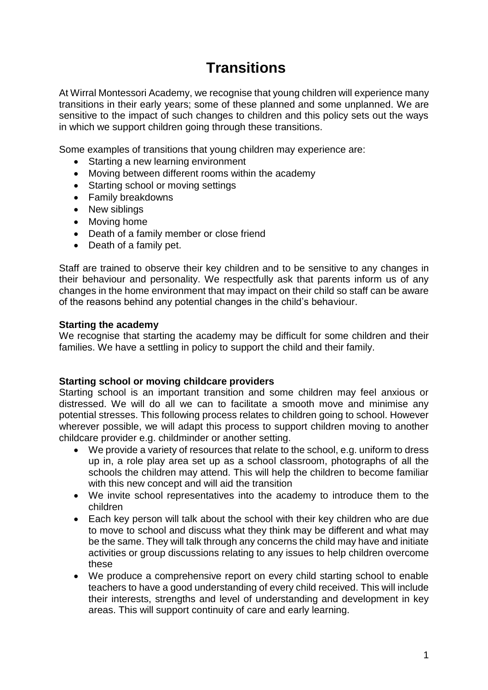# **Transitions**

At Wirral Montessori Academy, we recognise that young children will experience many transitions in their early years; some of these planned and some unplanned. We are sensitive to the impact of such changes to children and this policy sets out the ways in which we support children going through these transitions.

Some examples of transitions that young children may experience are:

- Starting a new learning environment
- Moving between different rooms within the academy
- Starting school or moving settings
- Family breakdowns
- New siblings
- Moving home
- Death of a family member or close friend
- Death of a family pet.

Staff are trained to observe their key children and to be sensitive to any changes in their behaviour and personality. We respectfully ask that parents inform us of any changes in the home environment that may impact on their child so staff can be aware of the reasons behind any potential changes in the child's behaviour.

# **Starting the academy**

We recognise that starting the academy may be difficult for some children and their families. We have a settling in policy to support the child and their family.

# **Starting school or moving childcare providers**

Starting school is an important transition and some children may feel anxious or distressed. We will do all we can to facilitate a smooth move and minimise any potential stresses. This following process relates to children going to school. However wherever possible, we will adapt this process to support children moving to another childcare provider e.g. childminder or another setting.

- We provide a variety of resources that relate to the school, e.g. uniform to dress up in, a role play area set up as a school classroom, photographs of all the schools the children may attend. This will help the children to become familiar with this new concept and will aid the transition
- We invite school representatives into the academy to introduce them to the children
- Each key person will talk about the school with their key children who are due to move to school and discuss what they think may be different and what may be the same. They will talk through any concerns the child may have and initiate activities or group discussions relating to any issues to help children overcome these
- We produce a comprehensive report on every child starting school to enable teachers to have a good understanding of every child received. This will include their interests, strengths and level of understanding and development in key areas. This will support continuity of care and early learning.